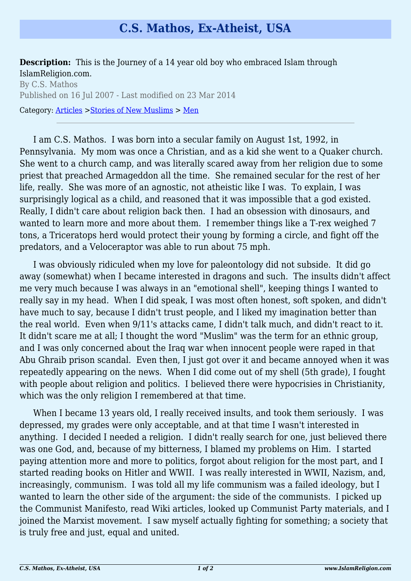## **C.S. Mathos, Ex-Atheist, USA**

**Description:** This is the Journey of a 14 year old boy who embraced Islam through IslamReligion.com.

By C.S. Mathos Published on 16 Jul 2007 - Last modified on 23 Mar 2014 Category: [Articles](http://www.islamreligion.com/articles/) >[Stories of New Muslims](http://www.islamreligion.com/category/63/) > [Men](http://www.islamreligion.com/category/64/)

I am C.S. Mathos. I was born into a secular family on August 1st, 1992, in Pennsylvania. My mom was once a Christian, and as a kid she went to a Quaker church. She went to a church camp, and was literally scared away from her religion due to some priest that preached Armageddon all the time. She remained secular for the rest of her life, really. She was more of an agnostic, not atheistic like I was. To explain, I was surprisingly logical as a child, and reasoned that it was impossible that a god existed. Really, I didn't care about religion back then. I had an obsession with dinosaurs, and wanted to learn more and more about them. I remember things like a T-rex weighed 7 tons, a Triceratops herd would protect their young by forming a circle, and fight off the predators, and a Veloceraptor was able to run about 75 mph.

I was obviously ridiculed when my love for paleontology did not subside. It did go away (somewhat) when I became interested in dragons and such. The insults didn't affect me very much because I was always in an "emotional shell", keeping things I wanted to really say in my head. When I did speak, I was most often honest, soft spoken, and didn't have much to say, because I didn't trust people, and I liked my imagination better than the real world. Even when 9/11's attacks came, I didn't talk much, and didn't react to it. It didn't scare me at all; I thought the word "Muslim" was the term for an ethnic group, and I was only concerned about the Iraq war when innocent people were raped in that Abu Ghraib prison scandal. Even then, I just got over it and became annoyed when it was repeatedly appearing on the news. When I did come out of my shell (5th grade), I fought with people about religion and politics. I believed there were hypocrisies in Christianity, which was the only religion I remembered at that time.

When I became 13 years old, I really received insults, and took them seriously. I was depressed, my grades were only acceptable, and at that time I wasn't interested in anything. I decided I needed a religion. I didn't really search for one, just believed there was one God, and, because of my bitterness, I blamed my problems on Him. I started paying attention more and more to politics, forgot about religion for the most part, and I started reading books on Hitler and WWII. I was really interested in WWII, Nazism, and, increasingly, communism. I was told all my life communism was a failed ideology, but I wanted to learn the other side of the argument: the side of the communists. I picked up the Communist Manifesto, read Wiki articles, looked up Communist Party materials, and I joined the Marxist movement. I saw myself actually fighting for something; a society that is truly free and just, equal and united.